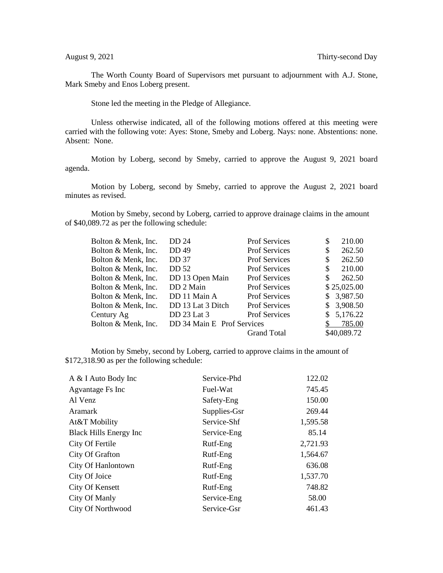The Worth County Board of Supervisors met pursuant to adjournment with A.J. Stone, Mark Smeby and Enos Loberg present.

Stone led the meeting in the Pledge of Allegiance.

Unless otherwise indicated, all of the following motions offered at this meeting were carried with the following vote: Ayes: Stone, Smeby and Loberg. Nays: none. Abstentions: none. Absent: None.

Motion by Loberg, second by Smeby, carried to approve the August 9, 2021 board agenda.

Motion by Loberg, second by Smeby, carried to approve the August 2, 2021 board minutes as revised.

Motion by Smeby, second by Loberg, carried to approve drainage claims in the amount of \$40,089.72 as per the following schedule:

| Bolton & Menk, Inc. | DD 24                      | <b>Prof Services</b> | \$ | 210.00      |
|---------------------|----------------------------|----------------------|----|-------------|
| Bolton & Menk, Inc. | DD 49                      | <b>Prof Services</b> | \$ | 262.50      |
| Bolton & Menk, Inc. | <b>DD 37</b>               | <b>Prof Services</b> | \$ | 262.50      |
| Bolton & Menk, Inc. | DD 52                      | <b>Prof Services</b> | S  | 210.00      |
| Bolton & Menk, Inc. | DD 13 Open Main            | <b>Prof Services</b> | \$ | 262.50      |
| Bolton & Menk, Inc. | DD 2 Main                  | <b>Prof Services</b> |    | \$25,025.00 |
| Bolton & Menk, Inc. | DD 11 Main A               | <b>Prof Services</b> | S. | 3,987.50    |
| Bolton & Menk, Inc. | DD 13 Lat 3 Ditch          | <b>Prof Services</b> | S  | 3,908.50    |
| Century Ag          | DD 23 Lat 3                | <b>Prof Services</b> | S  | 5,176.22    |
| Bolton & Menk, Inc. | DD 34 Main E Prof Services |                      |    | 785.00      |
|                     |                            | <b>Grand Total</b>   |    | \$40,089.72 |

Motion by Smeby, second by Loberg, carried to approve claims in the amount of \$172,318.90 as per the following schedule:

| A & I Auto Body Inc           | Service-Phd  | 122.02   |
|-------------------------------|--------------|----------|
| Agvantage Fs Inc              | Fuel-Wat     | 745.45   |
| Al Venz                       | Safety-Eng   | 150.00   |
| <b>Aramark</b>                | Supplies-Gsr | 269.44   |
| At&T Mobility                 | Service-Shf  | 1,595.58 |
| <b>Black Hills Energy Inc</b> | Service-Eng  | 85.14    |
| City Of Fertile               | Rutf-Eng     | 2,721.93 |
| City Of Grafton               | Rutf-Eng     | 1,564.67 |
| City Of Hanlontown            | Rutf-Eng     | 636.08   |
| City Of Joice                 | Rutf-Eng     | 1,537.70 |
| City Of Kensett               | Rutf-Eng     | 748.82   |
| City Of Manly                 | Service-Eng  | 58.00    |
| <b>City Of Northwood</b>      | Service-Gsr  | 461.43   |